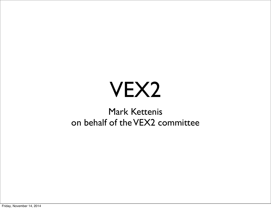#### VEX2

#### Mark Kettenis on behalf of the VEX2 committee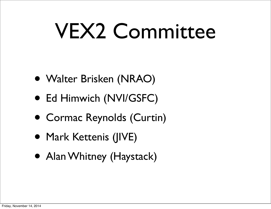### VEX2 Committee

- Walter Brisken (NRAO)
- Ed Himwich (NVI/GSFC)
- Cormac Reynolds (Curtin)
- Mark Kettenis (JIVE)
- Alan Whitney (Haystack)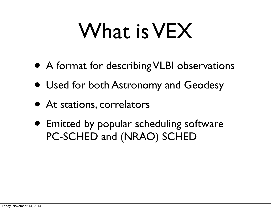### What is VEX

- A format for describing VLBI observations
- Used for both Astronomy and Geodesy
- At stations, correlators
- Emitted by popular scheduling software PC-SCHED and (NRAO) SCHED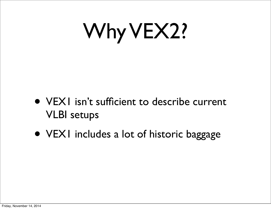## Why VEX2?

- VEX1 isn't sufficient to describe current VLBI setups
- VEX1 includes a lot of historic baggage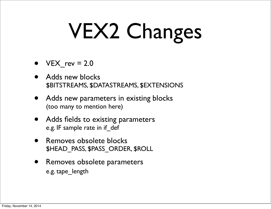# VEX2 Changes

- $VEX$  rev = 2.0
- Adds new blocks \$BITSTREAMS, \$DATASTREAMS, \$EXTENSIONS
- Adds new parameters in existing blocks (too many to mention here)
- Adds fields to existing parameters e.g. IF sample rate in if\_def
- Removes obsolete blocks \$HEAD\_PASS, \$PASS\_ORDER, \$ROLL
- Removes obsolete parameters e.g. tape\_length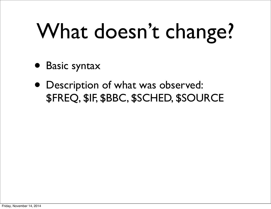# What doesn't change?

- Basic syntax
- Description of what was observed: \$FREQ, \$IF, \$BBC, \$SCHED, \$SOURCE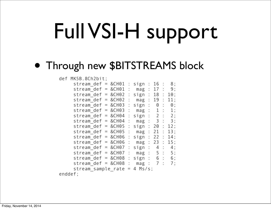# Full VSI-H support

#### • Through new \$BITSTREAMS block

#### def MK5B.8Ch2bit;

| stream $def = &CH01 : sign : 16$       |     |                      |  | $\therefore$ 8; |
|----------------------------------------|-----|----------------------|--|-----------------|
| stream def = $&CH01 : mag : 17 : 9;$   |     |                      |  |                 |
| stream def = $&CH02$ : sign : 18 : 10; |     |                      |  |                 |
| stream def = $&CH02$                   |     | : mag : 19 : 11;     |  |                 |
| stream $def = &CHO3$                   |     | : sign : $0: 0$ : 0; |  |                 |
| stream_def = $&CH03 : mag : 1 : 1;$    |     |                      |  |                 |
| stream $\det$ = &CH04 : sign : 2 : 2;  |     |                      |  |                 |
| stream $def = &CHO4 : mag : 3 : 3;$    |     |                      |  |                 |
| stream def = $&CH05 : sign : 20 : 12;$ |     |                      |  |                 |
| stream def = $&CH05:$ mag : 21 : 13;   |     |                      |  |                 |
| stream def = $&CH06 : sign : 22 : 14;$ |     |                      |  |                 |
| stream $def = &EHB6 :$                 |     | mag : 23 : 15;       |  |                 |
| stream def = $&CH07 : sign : 4 : 4;$   |     |                      |  |                 |
| stream $def = &CHO7$ :                 |     | mag : 5 : 5;         |  |                 |
| stream $def = &CH08 : sign : 6 : 6;$   |     |                      |  |                 |
| stream_def = $&CH08: mag: 7: 7;$       |     |                      |  |                 |
| stream sample_rate                     | $=$ | $4$ Ms/s;            |  |                 |
| enddef;                                |     |                      |  |                 |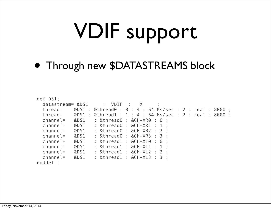# VDIF support

• Through new \$DATASTREAMS block

| def DS1;                                                                   |                                                                        |  |  |  |  |  |  |
|----------------------------------------------------------------------------|------------------------------------------------------------------------|--|--|--|--|--|--|
| datastream= $&DS1$ : $VDIF$ : $X$ ;                                        |                                                                        |  |  |  |  |  |  |
| thread= $&DS1 : &th^{\circ} = 0 : 4 : 64$ Ms/sec : 2 : real : 8000 ;       |                                                                        |  |  |  |  |  |  |
| thread= $&DS1 : & thread1 : 1 : 4 : 64 \text{ Ms/sec} : 2 : real : 8000 :$ |                                                                        |  |  |  |  |  |  |
| $channel = \&DS1 : \&thread0 : \&CH-XRO : 0 :$                             |                                                                        |  |  |  |  |  |  |
| $channel=$                                                                 | &DS1 : &thread0 : &CH-XR1 : 1 :                                        |  |  |  |  |  |  |
| &DS1<br>$channel=$                                                         | $\therefore$ &thread0 $\therefore$ &CH-XR2 $\therefore$ 2 $\therefore$ |  |  |  |  |  |  |
| 8DS1<br>$channel =$                                                        | $:$ &thread $0:$ &CH-XR3 $:$ 3 $:$                                     |  |  |  |  |  |  |
| 8DS1<br>$channel=$                                                         | $:$ &thread1 $:$ &CH-XL0 $:$ 0 $:$                                     |  |  |  |  |  |  |
| &DS1<br>$channel=$                                                         | $:$ &thread1 $:$ &CH-XL1 $:$ 1 $:$                                     |  |  |  |  |  |  |
| &DS1<br>$channel =$                                                        | : &thread1 : &CH-XL2 : 2 :                                             |  |  |  |  |  |  |
| $channel =$ &DS1                                                           | : &thread1 : &CH-XL3 : 3 :                                             |  |  |  |  |  |  |
| nnddof                                                                     |                                                                        |  |  |  |  |  |  |

enddef;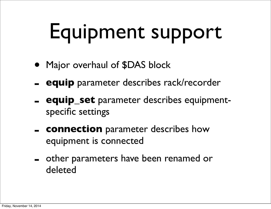# Equipment support

- Major overhaul of \$DAS block
- **equip** parameter describes rack/recorder
- **equip\_set** parameter describes equipmentspecific settings
- **connection** parameter describes how equipment is connected
- other parameters have been renamed or deleted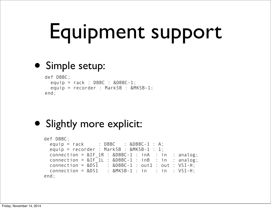# Equipment support

#### • Simple setup:

```
def DBBC;
  equip = rack: DBBC : &DBBC-1;
   equip = recorder : Mark5B : &MK5B-1;
end;
```
#### • Slightly more explicit:

```
def DBBC;
 equip = rack : DBBC : &DBBC-1 : A;
 equip = reorder : Mark5B : &MK5B-1 : 1;
 connection = &IF_1R : &BBBC-1 : inA : in : analog;
 connection = &IF\_1L : &BBE-1 : inB : in : analog;connection = &DS\overline{1} : &DBBC-1 : out1 : out : VSI-H;
 connection = &DS1 : &MK5B-1 : in : in : VSI-H:end;
```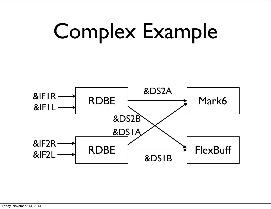

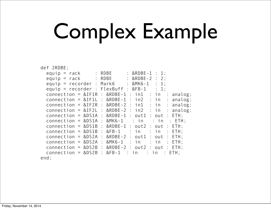# Complex Example

|  | def 2RDBE; |  |  | $connection = \&DS2B : \&FB-1$ | $:$ in | $\therefore$ in | equip = $rack$ : RDBE : $\&RDBE-1$ : 1;<br>equip = $rack$ : RDBE : &RDBE-2 : 2;<br>equip = $reorder$ : Mark6 : $\&MKG-1$ : 1;<br>equip = recorder : FlexBuff : &FB-1 : 1;<br>connection = $&IF1R : &RDBE-1 : in1 : in : analog;$<br>connection = $&IF1L : &RDBE-1 : in2 : in : analog;$<br>connection = $&IF2R : &RDBE-2 : in1 : in : analog;$<br>connection = $&IF2L : &RDBE-2 : in2 : in : analog;$<br>$connection = \&DS1A : \&RDBE-1 : out1 : out : ETH;$<br>$connection = \&DS1A : \&MK6-1 : in : in : ETH;$<br>connection = $&DS1B : &RDBE-1 : out2 : out : ETH;$<br>connection = $&DS1B : & FB-1 : in : in : ETH$ ;<br>$connection = \&DS2A : \&RDBE-2 : out1 : out : ETH;$<br>connection = $&DS2A : &MK6-1 : in : in : ETH;$<br>connection = $&$ DS2B : $&$ RDBE-2 : out 2 : out : ETH;<br>: ETH: |
|--|------------|--|--|--------------------------------|--------|-----------------|-----------------------------------------------------------------------------------------------------------------------------------------------------------------------------------------------------------------------------------------------------------------------------------------------------------------------------------------------------------------------------------------------------------------------------------------------------------------------------------------------------------------------------------------------------------------------------------------------------------------------------------------------------------------------------------------------------------------------------------------------------------------------------------------------------------|

end;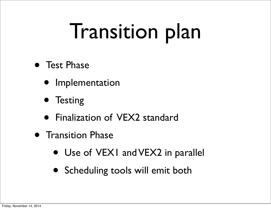### Transition plan

- Test Phase
	- Implementation
	- Testing
	- Finalization of VEX2 standard
- **Transition Phase** 
	- Use of VEX1 and VEX2 in parallel
	- Scheduling tools will emit both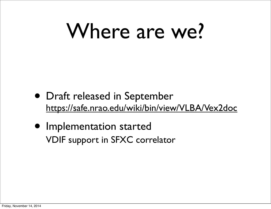### Where are we?

- Draft released in September <https://safe.nrao.edu/wiki/bin/view/VLBA/Vex2doc>
- Implementation started VDIF support in SFXC correlator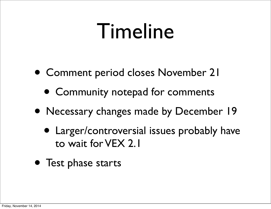#### Timeline

- Comment period closes November 21
	- Community notepad for comments
- Necessary changes made by December 19
	- Larger/controversial issues probably have to wait for VEX 2.1
- Test phase starts